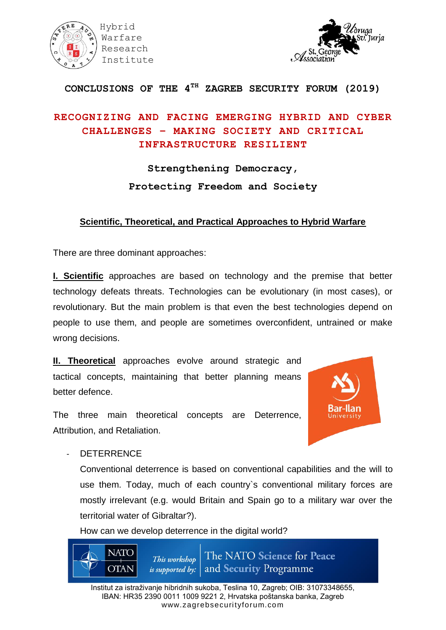



#### **CONCLUSIONS OF THE 4TH ZAGREB SECURITY FORUM (2019)**

### **RECOGNIZING AND FACING EMERGING HYBRID AND CYBER CHALLENGES – MAKING SOCIETY AND CRITICAL INFRASTRUCTURE RESILIENT**

## **Strengthening Democracy, Protecting Freedom and Society**

#### **Scientific, Theoretical, and Practical Approaches to Hybrid Warfare**

There are three dominant approaches:

**I. Scientific** approaches are based on technology and the premise that better technology defeats threats. Technologies can be evolutionary (in most cases), or revolutionary. But the main problem is that even the best technologies depend on people to use them, and people are sometimes overconfident, untrained or make wrong decisions.

**II. Theoretical** approaches evolve around strategic and tactical concepts, maintaining that better planning means better defence.



The three main theoretical concepts are Deterrence, Attribution, and Retaliation.

**DETERRENCE** 

Conventional deterrence is based on conventional capabilities and the will to use them. Today, much of each country`s conventional military forces are mostly irrelevant (e.g. would Britain and Spain go to a military war over the territorial water of Gibraltar?).

How can we develop deterrence in the digital world?

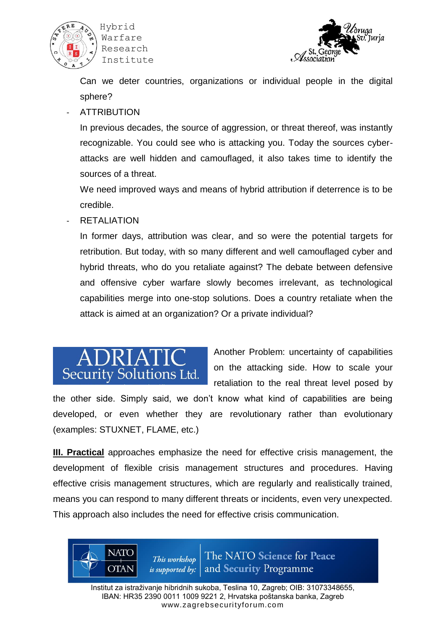

 Hybrid Warfare Research Institute



Can we deter countries, organizations or individual people in the digital sphere?

#### **ATTRIBUTION**

In previous decades, the source of aggression, or threat thereof, was instantly recognizable. You could see who is attacking you. Today the sources cyberattacks are well hidden and camouflaged, it also takes time to identify the sources of a threat.

We need improved ways and means of hybrid attribution if deterrence is to be credible.

RETALIATION

In former days, attribution was clear, and so were the potential targets for retribution. But today, with so many different and well camouflaged cyber and hybrid threats, who do you retaliate against? The debate between defensive and offensive cyber warfare slowly becomes irrelevant, as technological capabilities merge into one-stop solutions. Does a country retaliate when the attack is aimed at an organization? Or a private individual?



**NATO** 

**OTAN** 

Another Problem: uncertainty of capabilities on the attacking side. How to scale your retaliation to the real threat level posed by

the other side. Simply said, we don't know what kind of capabilities are being developed, or even whether they are revolutionary rather than evolutionary (examples: STUXNET, FLAME, etc.)

**III. Practical** approaches emphasize the need for effective crisis management, the development of flexible crisis management structures and procedures. Having effective crisis management structures, which are regularly and realistically trained, means you can respond to many different threats or incidents, even very unexpected. This approach also includes the need for effective crisis communication.

> The NATO Science for Peace This workshop and Security Programme is supported by:

Institut za istraživanje hibridnih sukoba, Teslina 10, Zagreb; OIB: 31073348655, IBAN: HR35 2390 0011 1009 9221 2, Hrvatska poštanska banka, Zagreb www.zagrebsecurityforum.com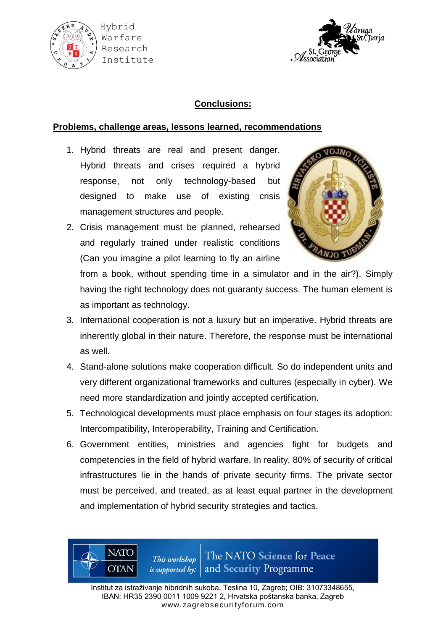



#### **Conclusions:**

#### **Problems, challenge areas, lessons learned, recommendations**

- 1. Hybrid threats are real and present danger. Hybrid threats and crises required a hybrid response, not only technology-based but designed to make use of existing crisis management structures and people.
- 2. Crisis management must be planned, rehearsed and regularly trained under realistic conditions (Can you imagine a pilot learning to fly an airline



from a book, without spending time in a simulator and in the air?). Simply having the right technology does not guaranty success. The human element is as important as technology.

- 3. International cooperation is not a luxury but an imperative. Hybrid threats are inherently global in their nature. Therefore, the response must be international as well.
- 4. Stand-alone solutions make cooperation difficult. So do independent units and very different organizational frameworks and cultures (especially in cyber). We need more standardization and jointly accepted certification.
- 5. Technological developments must place emphasis on four stages its adoption: Intercompatibility, Interoperability, Training and Certification.
- 6. Government entities, ministries and agencies fight for budgets and competencies in the field of hybrid warfare. In reality, 80% of security of critical infrastructures lie in the hands of private security firms. The private sector must be perceived, and treated, as at least equal partner in the development and implementation of hybrid security strategies and tactics.

The NATO Science for Peace This workshop and Security Programme is supported by:

**NATO** 

**OTAN**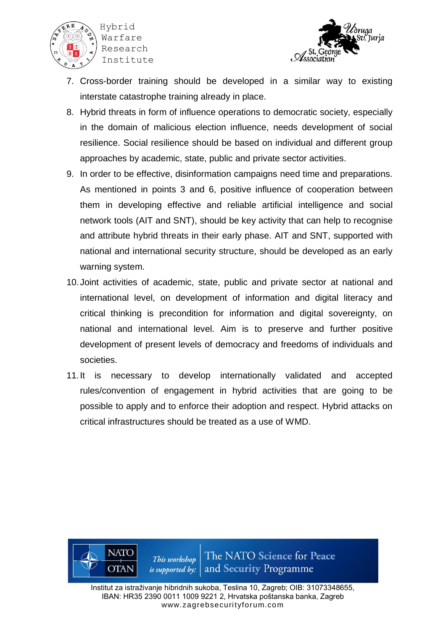



- 7. Cross-border training should be developed in a similar way to existing interstate catastrophe training already in place.
- 8. Hybrid threats in form of influence operations to democratic society, especially in the domain of malicious election influence, needs development of social resilience. Social resilience should be based on individual and different group approaches by academic, state, public and private sector activities.
- 9. In order to be effective, disinformation campaigns need time and preparations. As mentioned in points 3 and 6, positive influence of cooperation between them in developing effective and reliable artificial intelligence and social network tools (AIT and SNT), should be key activity that can help to recognise and attribute hybrid threats in their early phase. AIT and SNT, supported with national and international security structure, should be developed as an early warning system.
- 10.Joint activities of academic, state, public and private sector at national and international level, on development of information and digital literacy and critical thinking is precondition for information and digital sovereignty, on national and international level. Aim is to preserve and further positive development of present levels of democracy and freedoms of individuals and societies.
- 11.It is necessary to develop internationally validated and accepted rules/convention of engagement in hybrid activities that are going to be possible to apply and to enforce their adoption and respect. Hybrid attacks on critical infrastructures should be treated as a use of WMD.

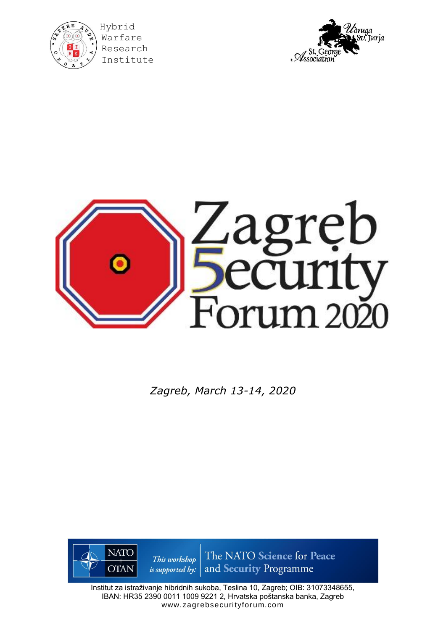

Warfare Research Institute





*Zagreb, March 13-14, 2020*



Institut za istraživanje hibridnih sukoba, Teslina 10, Zagreb; OIB: 31073348655, IBAN: HR35 2390 0011 1009 9221 2, Hrvatska poštanska banka, Zagreb www.zagrebsecurityforum.com